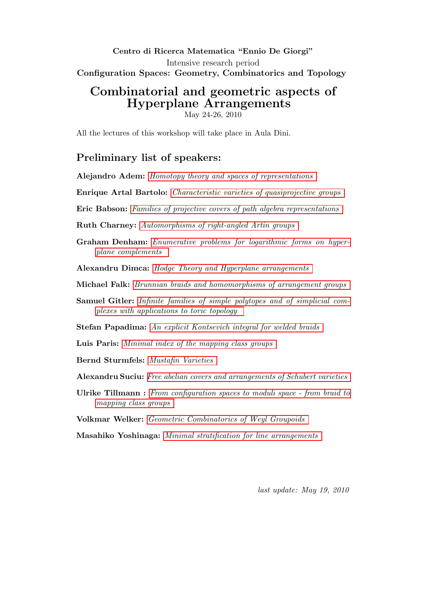## Centro di Ricerca Matematica "Ennio De Giorgi" Intensive research period Configuration Spaces: Geometry, Combinatorics and Topology

# Combinatorial and geometric aspects of Hyperplane Arrangements

May 24-26, 2010

<span id="page-0-0"></span>All the lectures of this workshop will take place in Aula Dini.

# Preliminary list of speakers:

- Alejandro Adem: [Homotopy theory and spaces of representations](#page-2-0)
- Enrique Artal Bartolo: [Characteristic varieties of quasiprojective groups](#page-2-1)
- Eric Babson: [Families of projective covers of path algebra representations](#page-2-2)
- Ruth Charney: [Automorphisms of right-angled Artin groups](#page-3-0)
- Graham Denham: [Enumerative problems for logarithmic forms on hyper](#page-3-1)[plane complements](#page-3-1)

Alexandru Dimca: [Hodge Theory and Hyperplane arrangements](#page-3-2)

- Michael Falk: [Brunnian braids and homomorphisms of arrangement groups](#page-3-3)
- Samuel Gitler: [Infinite families of simple polytopes and of simplicial com](#page-4-0)[plexes with applications to toric topology](#page-4-0)

Stefan Papadima: [An explicit Kontsevich integral for welded braids](#page-4-1)

Luis Paris: [Minimal index of the mapping class groups](#page-4-2)

Bernd Sturmfels: [Mustafin Varieties](#page-5-0)

Alexandru Suciu: [Free abelian covers and arrangements of Schubert varieties](#page-5-1)

Ulrike Tillmann : [From configuration spaces to moduli space - from braid to](#page-5-2) [mapping class groups](#page-5-2)

Volkmar Welker: [Geometric Combinatorics of Weyl Groupoids](#page-6-0)

Masahiko Yoshinaga: [Minimal stratification for line arrangements](#page-6-1)

last update: May 19, 2010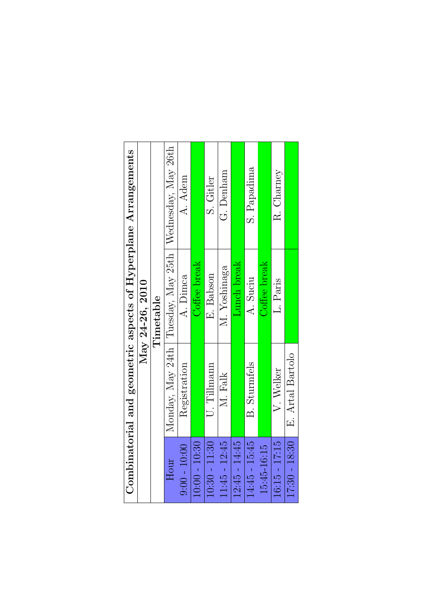|                 |                       |                 | Combinatorial and geometric aspects of Hyperplane Arrangements |
|-----------------|-----------------------|-----------------|----------------------------------------------------------------|
|                 |                       | May 24-26, 2010 |                                                                |
|                 |                       | Timetable       |                                                                |
| Hour            |                       |                 | Monday, May 24th   Tuesday, May 25th   Wednesday, May 26th     |
| $9:00 - 10:00$  | Registration          | A. Dimca        | A. Adem                                                        |
| $10:00 - 10:30$ |                       | Coffee break    |                                                                |
| $10:30 - 11:30$ | $\mathbf U.$ Tillmann | E. Babson       | S. Gitler                                                      |
| $11:45 - 12:45$ | M. Falk               | M. Yoshinaga    | G. Denham                                                      |
| $12:45 - 14:45$ |                       | Lunch break     |                                                                |
| $14:45 - 15:45$ | <b>B.</b> Sturmfels   | A. Suciu        | S. Papadima                                                    |
| 15:45-16:15     |                       | Coffee break    |                                                                |
| $16:15 - 17:15$ | V. Welker             | L. Paris        | R. Charney                                                     |
| $17:30 - 18:30$ | E. Artal Bartolo      |                 |                                                                |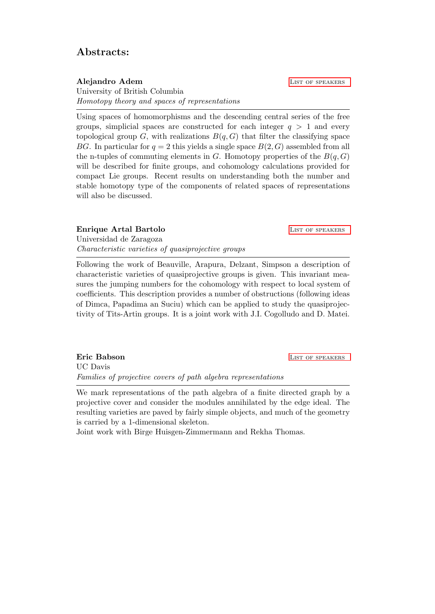## Abstracts:

<span id="page-2-0"></span>Alejandro Adem LIST OF SPEAKERS University of British Columbia Homotopy theory and spaces of representations

Using spaces of homomorphisms and the descending central series of the free groups, simplicial spaces are constructed for each integer  $q > 1$  and every topological group G, with realizations  $B(q, G)$  that filter the classifying space BG. In particular for  $q = 2$  this yields a single space  $B(2, G)$  assembled from all the n-tuples of commuting elements in G. Homotopy properties of the  $B(q, G)$ will be described for finite groups, and cohomology calculations provided for compact Lie groups. Recent results on understanding both the number and stable homotopy type of the components of related spaces of representations will also be discussed.

### <span id="page-2-1"></span>**Enrique Artal Bartolo LIST OF SPEAKERS**

Universidad de Zaragoza Characteristic varieties of quasiprojective groups

Following the work of Beauville, Arapura, Delzant, Simpson a description of characteristic varieties of quasiprojective groups is given. This invariant measures the jumping numbers for the cohomology with respect to local system of coefficients. This description provides a number of obstructions (following ideas of Dimca, Papadima an Suciu) which can be applied to study the quasiprojectivity of Tits-Artin groups. It is a joint work with J.I. Cogolludo and D. Matei.

<span id="page-2-2"></span>**Eric Babson** LIST OF SPEAKERS UC Davis Families of projective covers of path algebra representations

We mark representations of the path algebra of a finite directed graph by a projective cover and consider the modules annihilated by the edge ideal. The resulting varieties are paved by fairly simple objects, and much of the geometry is carried by a 1-dimensional skeleton.

Joint work with Birge Huisgen-Zimmermann and Rekha Thomas.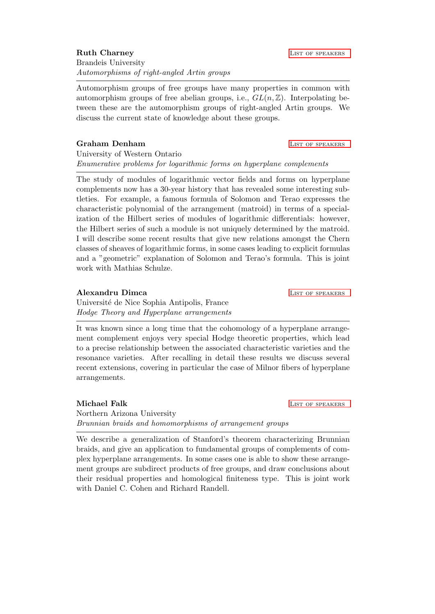<span id="page-3-0"></span>Automorphism groups of free groups have many properties in common with automorphism groups of free abelian groups, i.e.,  $GL(n, \mathbb{Z})$ . Interpolating between these are the automorphism groups of right-angled Artin groups. We discuss the current state of knowledge about these groups.

### <span id="page-3-1"></span>Graham Denham **LIST OF SPEAKERS**

University of Western Ontario Enumerative problems for logarithmic forms on hyperplane complements

The study of modules of logarithmic vector fields and forms on hyperplane complements now has a 30-year history that has revealed some interesting subtleties. For example, a famous formula of Solomon and Terao expresses the characteristic polynomial of the arrangement (matroid) in terms of a specialization of the Hilbert series of modules of logarithmic differentials: however, the Hilbert series of such a module is not uniquely determined by the matroid. I will describe some recent results that give new relations amongst the Chern classes of sheaves of logarithmic forms, in some cases leading to explicit formulas and a "geometric" explanation of Solomon and Terao's formula. This is joint work with Mathias Schulze.

<span id="page-3-2"></span>Alexandru Dimca and the List of Speakers and List of Speakers

Universit´e de Nice Sophia Antipolis, France Hodge Theory and Hyperplane arrangements

It was known since a long time that the cohomology of a hyperplane arrangement complement enjoys very special Hodge theoretic properties, which lead to a precise relationship between the associated characteristic varieties and the resonance varieties. After recalling in detail these results we discuss several recent extensions, covering in particular the case of Milnor fibers of hyperplane arrangements.

<span id="page-3-3"></span>Michael Falk **List of Speakers** List of Speakers Northern Arizona University Brunnian braids and homomorphisms of arrangement groups

We describe a generalization of Stanford's theorem characterizing Brunnian braids, and give an application to fundamental groups of complements of complex hyperplane arrangements. In some cases one is able to show these arrangement groups are subdirect products of free groups, and draw conclusions about their residual properties and homological finiteness type. This is joint work with Daniel C. Cohen and Richard Randell.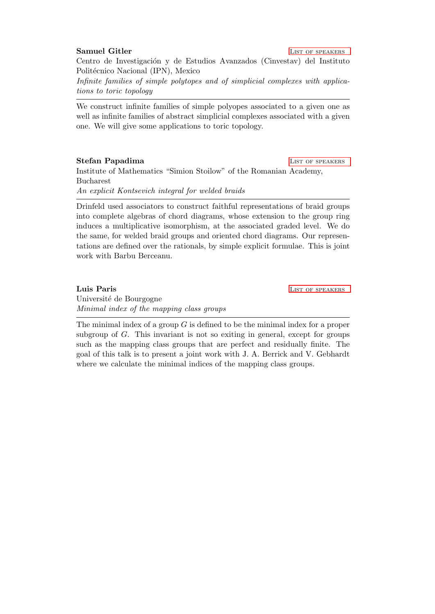### <span id="page-4-0"></span>Samuel Gitler **LIST OF SPEAKERS**

Centro de Investigación y de Estudios Avanzados (Cinvestav) del Instituto Politécnico Nacional (IPN), Mexico

Infinite families of simple polytopes and of simplicial complexes with applications to toric topology

We construct infinite families of simple polyopes associated to a given one as well as infinite families of abstract simplicial complexes associated with a given one. We will give some applications to toric topology.

#### <span id="page-4-1"></span>Stefan Papadima **LIST OF SPEAKERS**

Institute of Mathematics "Simion Stoilow" of the Romanian Academy, Bucharest An explicit Kontsevich integral for welded braids

Drinfeld used associators to construct faithful representations of braid groups into complete algebras of chord diagrams, whose extension to the group ring induces a multiplicative isomorphism, at the associated graded level. We do the same, for welded braid groups and oriented chord diagrams. Our representations are defined over the rationals, by simple explicit formulae. This is joint work with Barbu Berceanu.

<span id="page-4-2"></span>Luis Paris **Luis Paris 2018** Université de Bourgogne Minimal index of the mapping class groups

The minimal index of a group  $G$  is defined to be the minimal index for a proper subgroup of G. This invariant is not so exiting in general, except for groups such as the mapping class groups that are perfect and residually finite. The goal of this talk is to present a joint work with J. A. Berrick and V. Gebhardt where we calculate the minimal indices of the mapping class groups.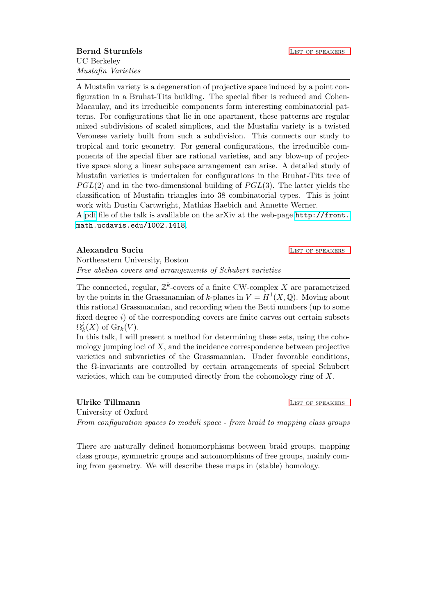<span id="page-5-0"></span>A Mustafin variety is a degeneration of projective space induced by a point configuration in a Bruhat-Tits building. The special fiber is reduced and Cohen-Macaulay, and its irreducible components form interesting combinatorial patterns. For configurations that lie in one apartment, these patterns are regular mixed subdivisions of scaled simplices, and the Mustafin variety is a twisted Veronese variety built from such a subdivision. This connects our study to tropical and toric geometry. For general configurations, the irreducible components of the special fiber are rational varieties, and any blow-up of projective space along a linear subspace arrangement can arise. A detailed study of Mustafin varieties is undertaken for configurations in the Bruhat-Tits tree of  $PGL(2)$  and in the two-dimensional building of  $PGL(3)$ . The latter yields the classification of Mustafin triangles into 38 combinatorial types. This is joint work with Dustin Cartwright, Mathias Haebich and Annette Werner.

A [pdf](http://uk.arxiv.org/pdf/1002.1418.pdf) file of the talk is avalilable on the arXiv at the web-page [http://front.](http://front.math.ucdavis.edu/1002.1418) [math.ucdavis.edu/1002.1418](http://front.math.ucdavis.edu/1002.1418).

<span id="page-5-1"></span>Alexandru Suciu LIST OF SPEAKERS

Northeastern University, Boston Free abelian covers and arrangements of Schubert varieties

The connected, regular,  $\mathbb{Z}^k$ -covers of a finite CW-complex X are parametrized by the points in the Grassmannian of k-planes in  $V = H^1(X, \mathbb{Q})$ . Moving about this rational Grassmannian, and recording when the Betti numbers (up to some fixed degree  $i$ ) of the corresponding covers are finite carves out certain subsets  $\Omega_k^i(X)$  of  $\mathrm{Gr}_k(V)$ .

In this talk, I will present a method for determining these sets, using the cohomology jumping loci of  $X$ , and the incidence correspondence between projective varieties and subvarieties of the Grassmannian. Under favorable conditions, the  $\Omega$ -invariants are controlled by certain arrangements of special Schubert varieties, which can be computed directly from the cohomology ring of  $X$ .

<span id="page-5-2"></span>Ulrike Tillmann LIST OF SPEAKERS University of Oxford From configuration spaces to moduli space - from braid to mapping class groups

There are naturally defined homomorphisms between braid groups, mapping class groups, symmetric groups and automorphisms of free groups, mainly coming from geometry. We will describe these maps in (stable) homology.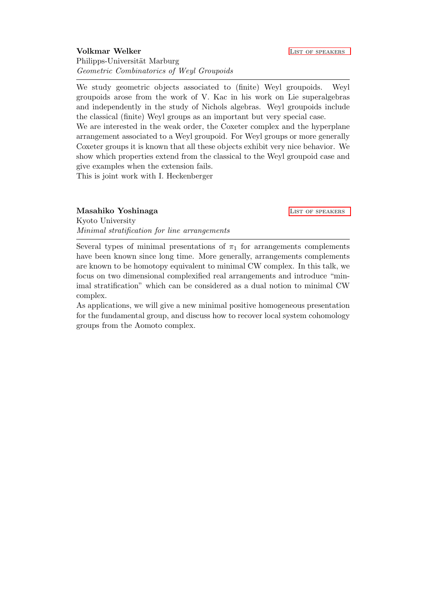<span id="page-6-0"></span>We study geometric objects associated to (finite) Weyl groupoids. Weyl groupoids arose from the work of V. Kac in his work on Lie superalgebras and independently in the study of Nichols algebras. Weyl groupoids include the classical (finite) Weyl groups as an important but very special case. We are interested in the weak order, the Coxeter complex and the hyperplane

arrangement associated to a Weyl groupoid. For Weyl groups or more generally Coxeter groups it is known that all these objects exhibit very nice behavior. We show which properties extend from the classical to the Weyl groupoid case and give examples when the extension fails.

This is joint work with I. Heckenberger

#### <span id="page-6-1"></span>Masahiko Yoshinaga LIST OF SPEAKERS

Kyoto University Minimal stratification for line arrangements

Several types of minimal presentations of  $\pi_1$  for arrangements complements have been known since long time. More generally, arrangements complements are known to be homotopy equivalent to minimal CW complex. In this talk, we focus on two dimensional complexified real arrangements and introduce "minimal stratification" which can be considered as a dual notion to minimal CW complex.

As applications, we will give a new minimal positive homogeneous presentation for the fundamental group, and discuss how to recover local system cohomology groups from the Aomoto complex.